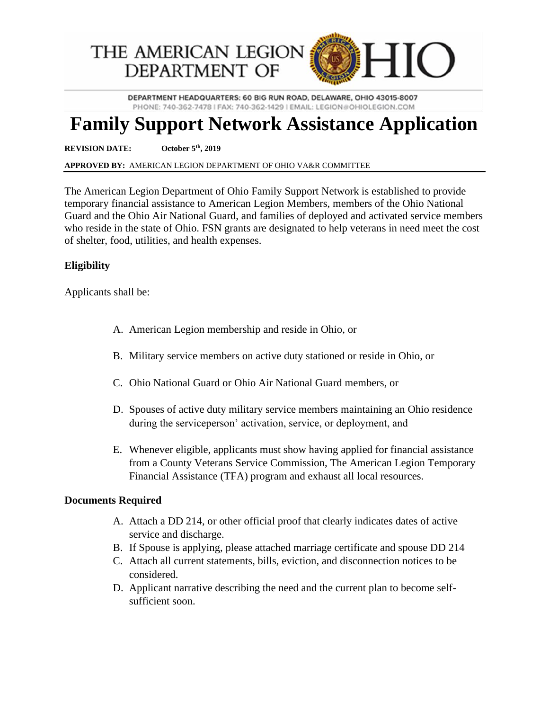

DEPARTMENT HEADQUARTERS: 60 BIG RUN ROAD, DELAWARE, OHIO 43015-8007 PHONE: 740-362-7478 | FAX: 740-362-1429 | EMAIL: LEGION @OHIOLEGION.COM

## **Family Support Network Assistance Application**

**REVISION DATE: October 5th, 2019**

**APPROVED BY:** AMERICAN LEGION DEPARTMENT OF OHIO VA&R COMMITTEE

The American Legion Department of Ohio Family Support Network is established to provide temporary financial assistance to American Legion Members, members of the Ohio National Guard and the Ohio Air National Guard, and families of deployed and activated service members who reside in the state of Ohio. FSN grants are designated to help veterans in need meet the cost of shelter, food, utilities, and health expenses.

## **Eligibility**

Applicants shall be:

- A. American Legion membership and reside in Ohio, or
- B. Military service members on active duty stationed or reside in Ohio, or
- C. Ohio National Guard or Ohio Air National Guard members, or
- D. Spouses of active duty military service members maintaining an Ohio residence during the serviceperson' activation, service, or deployment, and
- E. Whenever eligible, applicants must show having applied for financial assistance from a County Veterans Service Commission, The American Legion Temporary Financial Assistance (TFA) program and exhaust all local resources.

## **Documents Required**

- A. Attach a DD 214, or other official proof that clearly indicates dates of active service and discharge.
- B. If Spouse is applying, please attached marriage certificate and spouse DD 214
- C. Attach all current statements, bills, eviction, and disconnection notices to be considered.
- D. Applicant narrative describing the need and the current plan to become selfsufficient soon.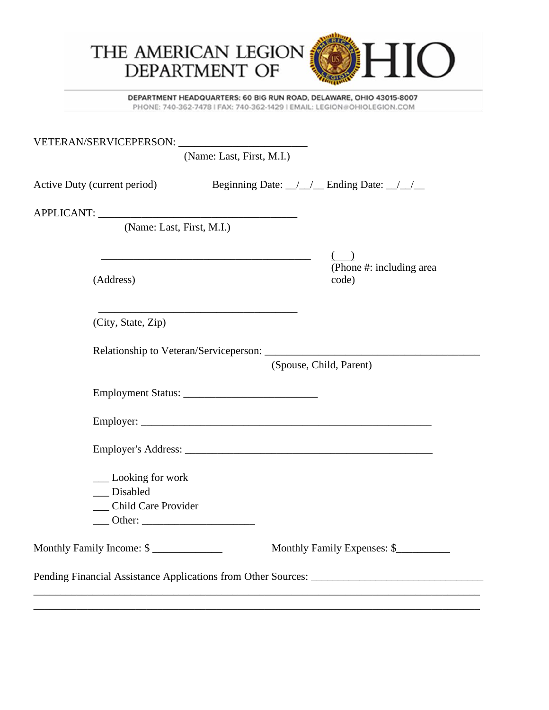

DEPARTMENT HEADQUARTERS: 60 BIG RUN ROAD, DELAWARE, OHIO 43015-8007 PHONE: 740-362-7478 | FAX: 740-362-1429 | EMAIL: LEGION #OHIOLEGION.COM

|                                                                 | (Name: Last, First, M.I.)                                                                                            |                                   |
|-----------------------------------------------------------------|----------------------------------------------------------------------------------------------------------------------|-----------------------------------|
| Active Duty (current period) Beginning Date: 11 Ending Date: 11 |                                                                                                                      |                                   |
|                                                                 |                                                                                                                      |                                   |
| (Name: Last, First, M.I.)                                       |                                                                                                                      |                                   |
| (Address)                                                       | <u> 1989 - Johann Stein, marwolaethau a bhann an t-Amhain an t-Amhain an t-Amhain an t-Amhain an t-Amhain an t-A</u> | (Phone #: including area<br>code) |
| (City, State, Zip)                                              |                                                                                                                      |                                   |
|                                                                 | (Spouse, Child, Parent)                                                                                              |                                   |
|                                                                 |                                                                                                                      |                                   |
|                                                                 |                                                                                                                      |                                   |
|                                                                 |                                                                                                                      |                                   |
| __ Looking for work<br>Disabled<br>_ Child Care Provider        |                                                                                                                      |                                   |
| Monthly Family Income: \$                                       |                                                                                                                      | Monthly Family Expenses: \$       |
|                                                                 |                                                                                                                      |                                   |
|                                                                 |                                                                                                                      |                                   |